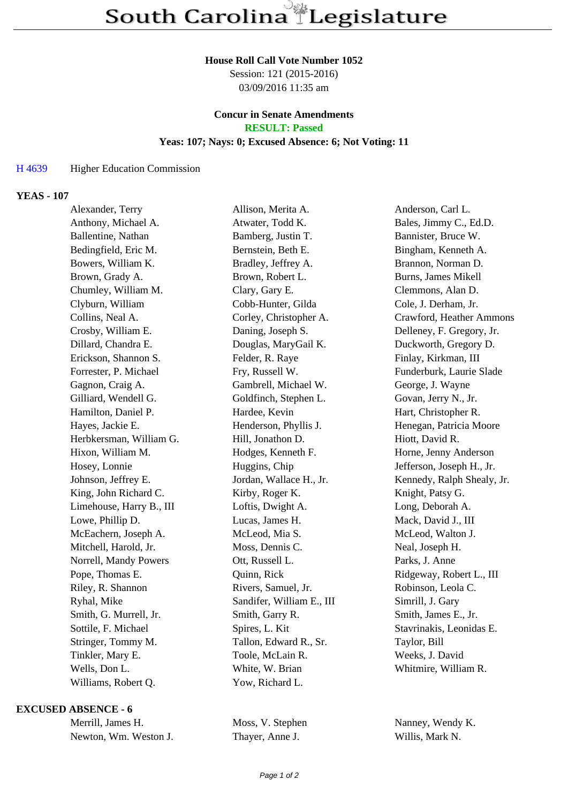### **House Roll Call Vote Number 1052**

Session: 121 (2015-2016) 03/09/2016 11:35 am

### **Concur in Senate Amendments RESULT: Passed**

### **Yeas: 107; Nays: 0; Excused Absence: 6; Not Voting: 11**

## H 4639 Higher Education Commission

### **YEAS - 107**

| Alexander, Terry         | Allison, Merita A.        | Anderson, Carl L.          |
|--------------------------|---------------------------|----------------------------|
| Anthony, Michael A.      | Atwater, Todd K.          | Bales, Jimmy C., Ed.D.     |
| Ballentine, Nathan       | Bamberg, Justin T.        | Bannister, Bruce W.        |
| Bedingfield, Eric M.     | Bernstein, Beth E.        | Bingham, Kenneth A.        |
| Bowers, William K.       | Bradley, Jeffrey A.       | Brannon, Norman D.         |
| Brown, Grady A.          | Brown, Robert L.          | Burns, James Mikell        |
| Chumley, William M.      | Clary, Gary E.            | Clemmons, Alan D.          |
| Clyburn, William         | Cobb-Hunter, Gilda        | Cole, J. Derham, Jr.       |
| Collins, Neal A.         | Corley, Christopher A.    | Crawford, Heather Ammons   |
| Crosby, William E.       | Daning, Joseph S.         | Delleney, F. Gregory, Jr.  |
| Dillard, Chandra E.      | Douglas, MaryGail K.      | Duckworth, Gregory D.      |
| Erickson, Shannon S.     | Felder, R. Raye           | Finlay, Kirkman, III       |
| Forrester, P. Michael    | Fry, Russell W.           | Funderburk, Laurie Slade   |
| Gagnon, Craig A.         | Gambrell, Michael W.      | George, J. Wayne           |
| Gilliard, Wendell G.     | Goldfinch, Stephen L.     | Govan, Jerry N., Jr.       |
| Hamilton, Daniel P.      | Hardee, Kevin             | Hart, Christopher R.       |
| Hayes, Jackie E.         | Henderson, Phyllis J.     | Henegan, Patricia Moore    |
| Herbkersman, William G.  | Hill, Jonathon D.         | Hiott, David R.            |
| Hixon, William M.        | Hodges, Kenneth F.        | Horne, Jenny Anderson      |
| Hosey, Lonnie            | Huggins, Chip             | Jefferson, Joseph H., Jr.  |
| Johnson, Jeffrey E.      | Jordan, Wallace H., Jr.   | Kennedy, Ralph Shealy, Jr. |
| King, John Richard C.    | Kirby, Roger K.           | Knight, Patsy G.           |
| Limehouse, Harry B., III | Loftis, Dwight A.         | Long, Deborah A.           |
| Lowe, Phillip D.         | Lucas, James H.           | Mack, David J., III        |
| McEachern, Joseph A.     | McLeod, Mia S.            | McLeod, Walton J.          |
| Mitchell, Harold, Jr.    | Moss, Dennis C.           | Neal, Joseph H.            |
| Norrell, Mandy Powers    | Ott, Russell L.           | Parks, J. Anne             |
| Pope, Thomas E.          | Quinn, Rick               | Ridgeway, Robert L., III   |
| Riley, R. Shannon        | Rivers, Samuel, Jr.       | Robinson, Leola C.         |
| Ryhal, Mike              | Sandifer, William E., III | Simrill, J. Gary           |
| Smith, G. Murrell, Jr.   | Smith, Garry R.           | Smith, James E., Jr.       |
| Sottile, F. Michael      | Spires, L. Kit            | Stavrinakis, Leonidas E.   |
| Stringer, Tommy M.       | Tallon, Edward R., Sr.    | Taylor, Bill               |
| Tinkler, Mary E.         | Toole, McLain R.          | Weeks, J. David            |
| Wells, Don L.            | White, W. Brian           | Whitmire, William R.       |
| Williams, Robert Q.      | Yow, Richard L.           |                            |

### **EXCUSED ABSENCE - 6**

| Merrill, James H.     |  |  |
|-----------------------|--|--|
| Newton, Wm. Weston J. |  |  |

Thayer, Anne J. Willis, Mark N.

Moss, V. Stephen Nanney, Wendy K.